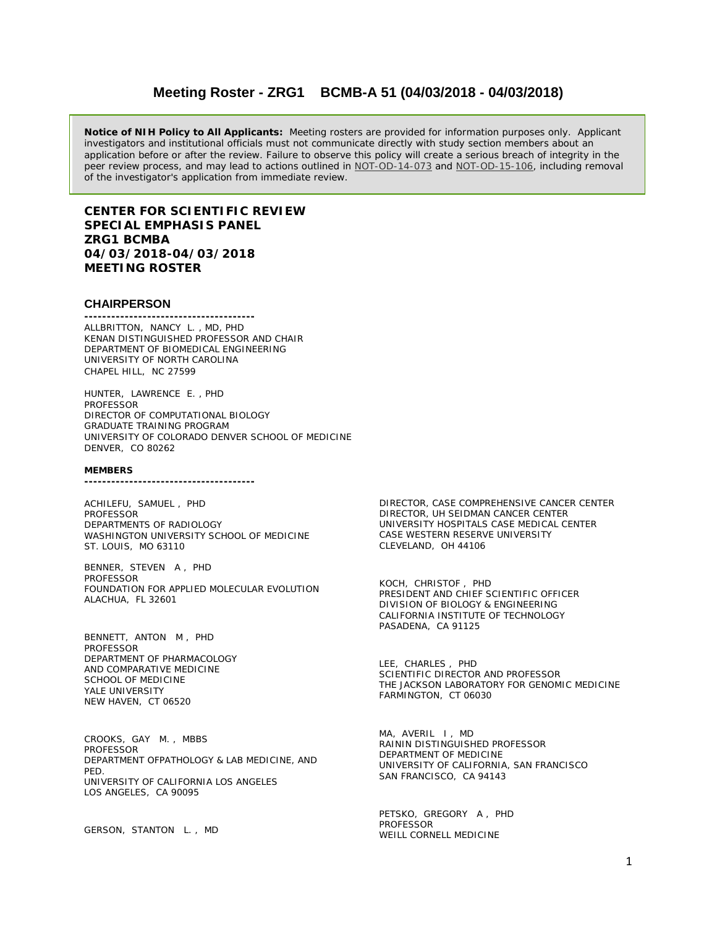# **Meeting Roster - ZRG1 BCMB-A 51 (04/03/2018 - 04/03/2018)**

**Notice of NIH Policy to All Applicants:** Meeting rosters are provided for information purposes only. Applicant investigators and institutional officials must not communicate directly with study section members about an application before or after the review. Failure to observe this policy will create a serious breach of integrity in the peer review process, and may lead to actions outlined in [NOT-OD-14-073](https://grants.nih.gov/grants/guide/notice-files/NOT-OD-14-073.html) and [NOT-OD-15-106,](https://grants.nih.gov/grants/guide/notice-files/NOT-OD-15-106.html) including removal of the investigator's application from immediate review.

## **CENTER FOR SCIENTIFIC REVIEW SPECIAL EMPHASIS PANEL ZRG1 BCMBA 04/03/2018-04/03/2018 MEETING ROSTER**

## **CHAIRPERSON**

**--------------------------------------** ALLBRITTON, NANCY L. , MD, PHD KENAN DISTINGUISHED PROFESSOR AND CHAIR DEPARTMENT OF BIOMEDICAL ENGINEERING UNIVERSITY OF NORTH CAROLINA CHAPEL HILL, NC 27599

HUNTER, LAWRENCE E. , PHD PROFESSOR DIRECTOR OF COMPUTATIONAL BIOLOGY GRADUATE TRAINING PROGRAM UNIVERSITY OF COLORADO DENVER SCHOOL OF MEDICINE DENVER, CO 80262

#### **MEMBERS --------------------------------------**

ACHILEFU, SAMUEL , PHD **PROFESSOR** DEPARTMENTS OF RADIOLOGY WASHINGTON UNIVERSITY SCHOOL OF MEDICINE ST. LOUIS, MO 63110

BENNER, STEVEN A , PHD PROFESSOR FOUNDATION FOR APPLIED MOLECULAR EVOLUTION ALACHUA, FL 32601

BENNETT, ANTON M , PHD PROFESSOR DEPARTMENT OF PHARMACOLOGY AND COMPARATIVE MEDICINE SCHOOL OF MEDICINE YALE UNIVERSITY NEW HAVEN, CT 06520

CROOKS, GAY M. , MBBS PROFESSOR DEPARTMENT OFPATHOLOGY & LAB MEDICINE, AND PED. UNIVERSITY OF CALIFORNIA LOS ANGELES LOS ANGELES, CA 90095

GERSON, STANTON L. , MD

DIRECTOR, CASE COMPREHENSIVE CANCER CENTER DIRECTOR, UH SEIDMAN CANCER CENTER UNIVERSITY HOSPITALS CASE MEDICAL CENTER CASE WESTERN RESERVE UNIVERSITY CLEVELAND, OH 44106

KOCH, CHRISTOF , PHD PRESIDENT AND CHIEF SCIENTIFIC OFFICER DIVISION OF BIOLOGY & ENGINEERING CALIFORNIA INSTITUTE OF TECHNOLOGY PASADENA, CA 91125

LEE, CHARLES , PHD SCIENTIFIC DIRECTOR AND PROFESSOR THE JACKSON LABORATORY FOR GENOMIC MEDICINE FARMINGTON, CT 06030

MA, AVERIL I, MD RAININ DISTINGUISHED PROFESSOR DEPARTMENT OF MEDICINE UNIVERSITY OF CALIFORNIA, SAN FRANCISCO SAN FRANCISCO, CA 94143

PETSKO, GREGORY A , PHD PROFESSOR WEILL CORNELL MEDICINE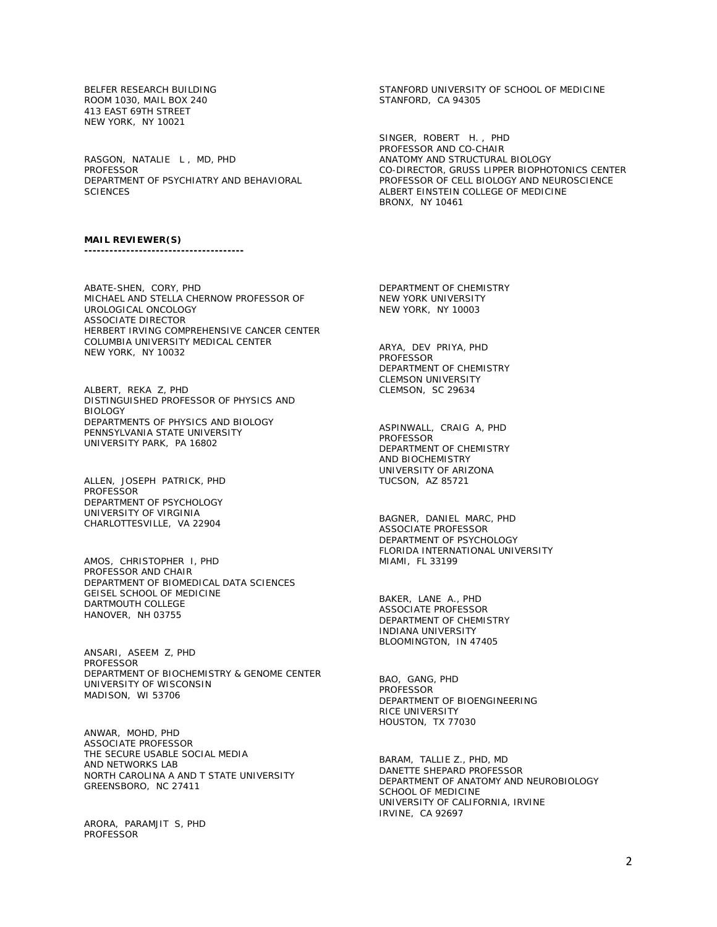BELFER RESEARCH BUILDING ROOM 1030, MAIL BOX 240 413 EAST 69TH STREET NEW YORK, NY 10021

RASGON, NATALIE L , MD, PHD PROFESSOR DEPARTMENT OF PSYCHIATRY AND BEHAVIORAL **SCIENCES** 

STANFORD UNIVERSITY OF SCHOOL OF MEDICINE STANFORD, CA 94305

SINGER, ROBERT H. , PHD PROFESSOR AND CO-CHAIR ANATOMY AND STRUCTURAL BIOLOGY CO-DIRECTOR, GRUSS LIPPER BIOPHOTONICS CENTER PROFESSOR OF CELL BIOLOGY AND NEUROSCIENCE ALBERT EINSTEIN COLLEGE OF MEDICINE BRONX, NY 10461

### **MAIL REVIEWER(S)**

**--------------------------------------**

ABATE-SHEN, CORY, PHD MICHAEL AND STELLA CHERNOW PROFESSOR OF UROLOGICAL ONCOLOGY ASSOCIATE DIRECTOR HERBERT IRVING COMPREHENSIVE CANCER CENTER COLUMBIA UNIVERSITY MEDICAL CENTER NEW YORK, NY 10032

ALBERT, REKA Z, PHD DISTINGUISHED PROFESSOR OF PHYSICS AND BIOLOGY DEPARTMENTS OF PHYSICS AND BIOLOGY PENNSYLVANIA STATE UNIVERSITY UNIVERSITY PARK, PA 16802

ALLEN, JOSEPH PATRICK, PHD PROFESSOR DEPARTMENT OF PSYCHOLOGY UNIVERSITY OF VIRGINIA CHARLOTTESVILLE, VA 22904

AMOS, CHRISTOPHER I, PHD PROFESSOR AND CHAIR DEPARTMENT OF BIOMEDICAL DATA SCIENCES GEISEL SCHOOL OF MEDICINE DARTMOUTH COLLEGE HANOVER, NH 03755

ANSARI, ASEEM Z, PHD **PROFESSOR** DEPARTMENT OF BIOCHEMISTRY & GENOME CENTER UNIVERSITY OF WISCONSIN MADISON, WI 53706

ANWAR, MOHD, PHD ASSOCIATE PROFESSOR THE SECURE USABLE SOCIAL MEDIA AND NETWORKS LAB NORTH CAROLINA A AND T STATE UNIVERSITY GREENSBORO, NC 27411

ARORA, PARAMJIT S, PHD PROFESSOR

DEPARTMENT OF CHEMISTRY NEW YORK UNIVERSITY NEW YORK, NY 10003

ARYA, DEV PRIYA, PHD PROFESSOR DEPARTMENT OF CHEMISTRY CLEMSON UNIVERSITY CLEMSON, SC 29634

ASPINWALL, CRAIG A, PHD PROFESSOR DEPARTMENT OF CHEMISTRY AND BIOCHEMISTRY UNIVERSITY OF ARIZONA TUCSON, AZ 85721

BAGNER, DANIEL MARC, PHD ASSOCIATE PROFESSOR DEPARTMENT OF PSYCHOLOGY FLORIDA INTERNATIONAL UNIVERSITY MIAMI, FL 33199

BAKER, LANE A., PHD ASSOCIATE PROFESSOR DEPARTMENT OF CHEMISTRY INDIANA UNIVERSITY BLOOMINGTON, IN 47405

BAO, GANG, PHD **PROFESSOR** DEPARTMENT OF BIOENGINEERING RICE UNIVERSITY HOUSTON, TX 77030

BARAM, TALLIE Z., PHD, MD DANETTE SHEPARD PROFESSOR DEPARTMENT OF ANATOMY AND NEUROBIOLOGY SCHOOL OF MEDICINE UNIVERSITY OF CALIFORNIA, IRVINE IRVINE, CA 92697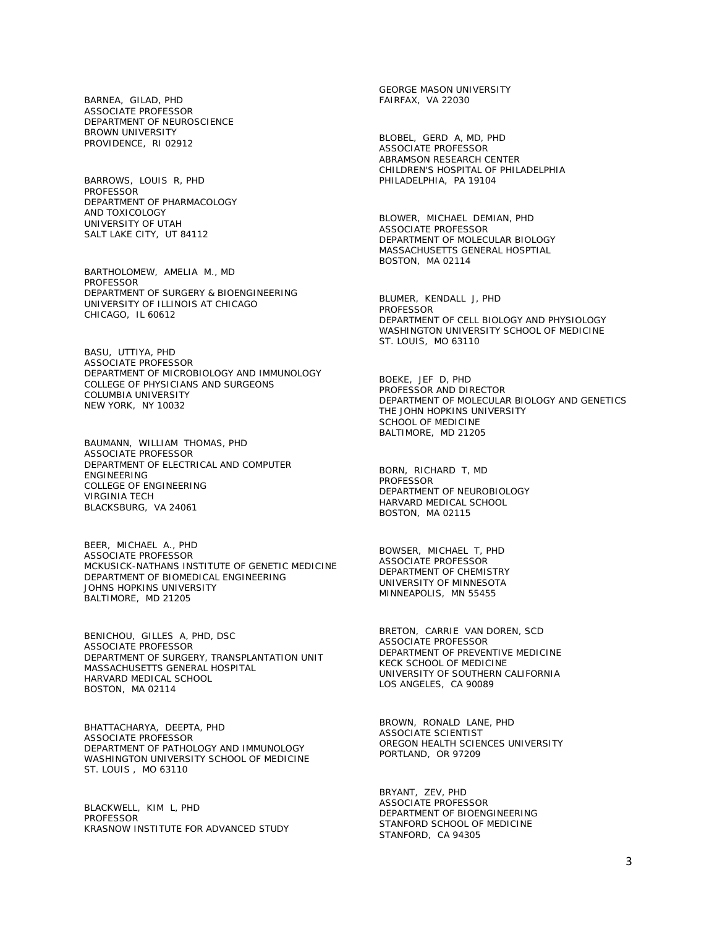BARNEA, GILAD, PHD ASSOCIATE PROFESSOR DEPARTMENT OF NEUROSCIENCE BROWN UNIVERSITY PROVIDENCE, RI 02912

BARROWS, LOUIS R, PHD PROFESSOR DEPARTMENT OF PHARMACOLOGY AND TOXICOLOGY UNIVERSITY OF UTAH SALT LAKE CITY, UT 84112

BARTHOLOMEW, AMELIA M., MD **PROFESSOR** DEPARTMENT OF SURGERY & BIOENGINEERING UNIVERSITY OF ILLINOIS AT CHICAGO CHICAGO, IL 60612

BASU, UTTIYA, PHD ASSOCIATE PROFESSOR DEPARTMENT OF MICROBIOLOGY AND IMMUNOLOGY COLLEGE OF PHYSICIANS AND SURGEONS COLUMBIA UNIVERSITY NEW YORK, NY 10032

BAUMANN, WILLIAM THOMAS, PHD ASSOCIATE PROFESSOR DEPARTMENT OF ELECTRICAL AND COMPUTER ENGINEERING COLLEGE OF ENGINEERING VIRGINIA TECH BLACKSBURG, VA 24061

BEER, MICHAEL A., PHD ASSOCIATE PROFESSOR MCKUSICK-NATHANS INSTITUTE OF GENETIC MEDICINE DEPARTMENT OF BIOMEDICAL ENGINEERING JOHNS HOPKINS UNIVERSITY BALTIMORE, MD 21205

BENICHOU, GILLES A, PHD, DSC ASSOCIATE PROFESSOR DEPARTMENT OF SURGERY, TRANSPLANTATION UNIT MASSACHUSETTS GENERAL HOSPITAL HARVARD MEDICAL SCHOOL BOSTON, MA 02114

BHATTACHARYA, DEEPTA, PHD ASSOCIATE PROFESSOR DEPARTMENT OF PATHOLOGY AND IMMUNOLOGY WASHINGTON UNIVERSITY SCHOOL OF MEDICINE ST. LOUIS , MO 63110

BLACKWELL, KIM L, PHD PROFESSOR KRASNOW INSTITUTE FOR ADVANCED STUDY GEORGE MASON UNIVERSITY FAIRFAX, VA 22030

BLOBEL, GERD A, MD, PHD ASSOCIATE PROFESSOR ABRAMSON RESEARCH CENTER CHILDREN'S HOSPITAL OF PHILADELPHIA PHILADELPHIA, PA 19104

BLOWER, MICHAEL DEMIAN, PHD ASSOCIATE PROFESSOR DEPARTMENT OF MOLECULAR BIOLOGY MASSACHUSETTS GENERAL HOSPTIAL BOSTON, MA 02114

BLUMER, KENDALL J, PHD PROFESSOR DEPARTMENT OF CELL BIOLOGY AND PHYSIOLOGY WASHINGTON UNIVERSITY SCHOOL OF MEDICINE ST. LOUIS, MO 63110

BOEKE, JEF D, PHD PROFESSOR AND DIRECTOR DEPARTMENT OF MOLECULAR BIOLOGY AND GENETICS THE JOHN HOPKINS UNIVERSITY SCHOOL OF MEDICINE BALTIMORE, MD 21205

BORN, RICHARD T, MD PROFESSOR DEPARTMENT OF NEUROBIOLOGY HARVARD MEDICAL SCHOOL BOSTON, MA 02115

BOWSER, MICHAEL T, PHD ASSOCIATE PROFESSOR DEPARTMENT OF CHEMISTRY UNIVERSITY OF MINNESOTA MINNEAPOLIS, MN 55455

BRETON, CARRIE VAN DOREN, SCD ASSOCIATE PROFESSOR DEPARTMENT OF PREVENTIVE MEDICINE KECK SCHOOL OF MEDICINE UNIVERSITY OF SOUTHERN CALIFORNIA LOS ANGELES, CA 90089

BROWN, RONALD LANE, PHD ASSOCIATE SCIENTIST OREGON HEALTH SCIENCES UNIVERSITY PORTLAND, OR 97209

BRYANT, ZEV, PHD ASSOCIATE PROFESSOR DEPARTMENT OF BIOENGINEERING STANFORD SCHOOL OF MEDICINE STANFORD, CA 94305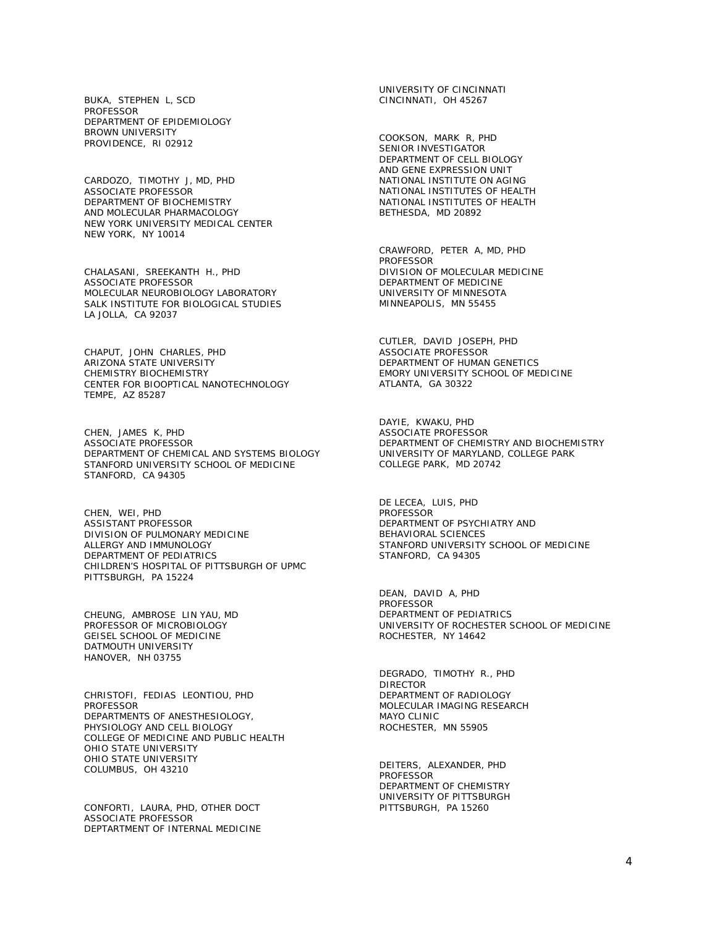BUKA, STEPHEN L, SCD PROFESSOR DEPARTMENT OF EPIDEMIOLOGY BROWN UNIVERSITY PROVIDENCE, RI 02912

CARDOZO, TIMOTHY J, MD, PHD ASSOCIATE PROFESSOR DEPARTMENT OF BIOCHEMISTRY AND MOLECULAR PHARMACOLOGY NEW YORK UNIVERSITY MEDICAL CENTER NEW YORK, NY 10014

CHALASANI, SREEKANTH H., PHD ASSOCIATE PROFESSOR MOLECULAR NEUROBIOLOGY LABORATORY SALK INSTITUTE FOR BIOLOGICAL STUDIES LA JOLLA, CA 92037

CHAPUT, JOHN CHARLES, PHD ARIZONA STATE UNIVERSITY CHEMISTRY BIOCHEMISTRY CENTER FOR BIOOPTICAL NANOTECHNOLOGY TEMPE, AZ 85287

CHEN, JAMES K, PHD ASSOCIATE PROFESSOR DEPARTMENT OF CHEMICAL AND SYSTEMS BIOLOGY STANFORD UNIVERSITY SCHOOL OF MEDICINE STANFORD, CA 94305

CHEN, WEI, PHD ASSISTANT PROFESSOR DIVISION OF PULMONARY MEDICINE ALLERGY AND IMMUNOLOGY DEPARTMENT OF PEDIATRICS CHILDREN'S HOSPITAL OF PITTSBURGH OF UPMC PITTSBURGH, PA 15224

CHEUNG, AMBROSE LIN YAU, MD PROFESSOR OF MICROBIOLOGY GEISEL SCHOOL OF MEDICINE DATMOUTH UNIVERSITY HANOVER, NH 03755

CHRISTOFI, FEDIAS LEONTIOU, PHD **PROFESSOR** DEPARTMENTS OF ANESTHESIOLOGY, PHYSIOLOGY AND CELL BIOLOGY COLLEGE OF MEDICINE AND PUBLIC HEALTH OHIO STATE UNIVERSITY OHIO STATE UNIVERSITY COLUMBUS, OH 43210

CONFORTI, LAURA, PHD, OTHER DOCT ASSOCIATE PROFESSOR DEPTARTMENT OF INTERNAL MEDICINE UNIVERSITY OF CINCINNATI CINCINNATI, OH 45267

COOKSON, MARK R, PHD SENIOR INVESTIGATOR DEPARTMENT OF CELL BIOLOGY AND GENE EXPRESSION UNIT NATIONAL INSTITUTE ON AGING NATIONAL INSTITUTES OF HEALTH NATIONAL INSTITUTES OF HEALTH BETHESDA, MD 20892

CRAWFORD, PETER A, MD, PHD **PROFESSOR** DIVISION OF MOLECULAR MEDICINE DEPARTMENT OF MEDICINE UNIVERSITY OF MINNESOTA MINNEAPOLIS, MN 55455

CUTLER, DAVID JOSEPH, PHD ASSOCIATE PROFESSOR DEPARTMENT OF HUMAN GENETICS EMORY UNIVERSITY SCHOOL OF MEDICINE ATLANTA, GA 30322

DAYIE, KWAKU, PHD ASSOCIATE PROFESSOR DEPARTMENT OF CHEMISTRY AND BIOCHEMISTRY UNIVERSITY OF MARYLAND, COLLEGE PARK COLLEGE PARK, MD 20742

DE LECEA, LUIS, PHD PROFESSOR DEPARTMENT OF PSYCHIATRY AND BEHAVIORAL SCIENCES STANFORD UNIVERSITY SCHOOL OF MEDICINE STANFORD, CA 94305

DEAN, DAVID A, PHD PROFESSOR DEPARTMENT OF PEDIATRICS UNIVERSITY OF ROCHESTER SCHOOL OF MEDICINE ROCHESTER, NY 14642

DEGRADO, TIMOTHY R., PHD DIRECTOR DEPARTMENT OF RADIOLOGY MOLECULAR IMAGING RESEARCH MAYO CLINIC ROCHESTER, MN 55905

DEITERS, ALEXANDER, PHD PROFESSOR DEPARTMENT OF CHEMISTRY UNIVERSITY OF PITTSBURGH PITTSBURGH, PA 15260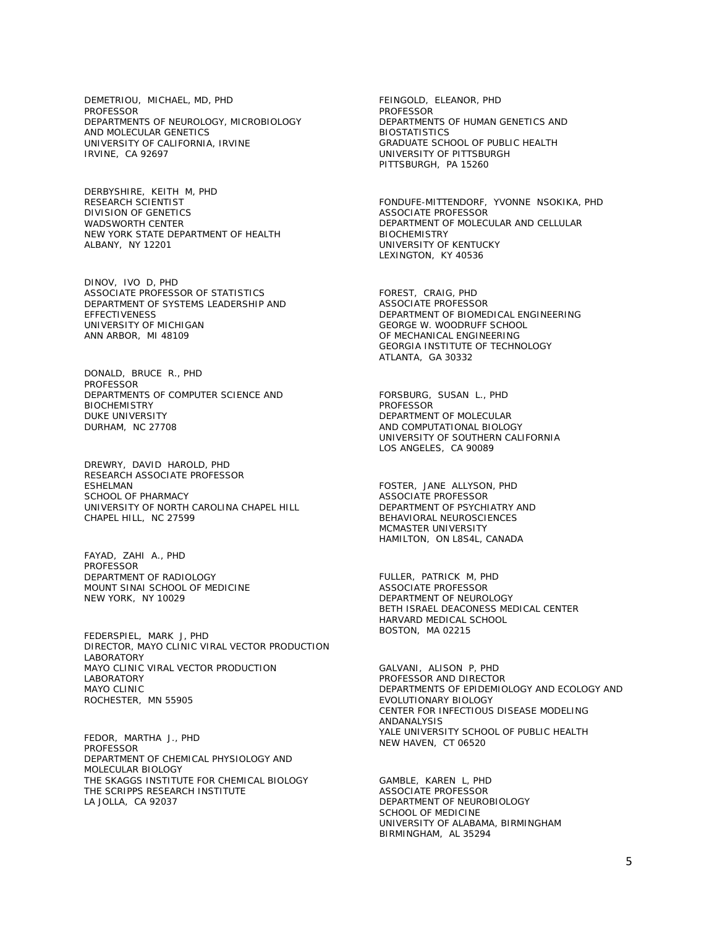DEMETRIOU, MICHAEL, MD, PHD PROFESSOR DEPARTMENTS OF NEUROLOGY, MICROBIOLOGY AND MOLECULAR GENETICS UNIVERSITY OF CALIFORNIA, IRVINE IRVINE, CA 92697

DERBYSHIRE, KEITH M, PHD RESEARCH SCIENTIST DIVISION OF GENETICS WADSWORTH CENTER NEW YORK STATE DEPARTMENT OF HEALTH ALBANY, NY 12201

DINOV, IVO D, PHD ASSOCIATE PROFESSOR OF STATISTICS DEPARTMENT OF SYSTEMS LEADERSHIP AND EFFECTIVENESS UNIVERSITY OF MICHIGAN ANN ARBOR, MI 48109

DONALD, BRUCE R., PHD **PROFESSOR** DEPARTMENTS OF COMPUTER SCIENCE AND **BIOCHEMISTRY** DUKE UNIVERSITY DURHAM, NC 27708

DREWRY, DAVID HAROLD, PHD RESEARCH ASSOCIATE PROFESSOR ESHELMAN SCHOOL OF PHARMACY UNIVERSITY OF NORTH CAROLINA CHAPEL HILL CHAPEL HILL, NC 27599

FAYAD, ZAHI A., PHD PROFESSOR DEPARTMENT OF RADIOLOGY MOUNT SINAI SCHOOL OF MEDICINE NEW YORK, NY 10029

FEDERSPIEL, MARK J, PHD DIRECTOR, MAYO CLINIC VIRAL VECTOR PRODUCTION LABORATORY MAYO CLINIC VIRAL VECTOR PRODUCTION LABORATORY MAYO CLINIC ROCHESTER, MN 55905

FEDOR, MARTHA J., PHD PROFESSOR DEPARTMENT OF CHEMICAL PHYSIOLOGY AND MOLECULAR BIOLOGY THE SKAGGS INSTITUTE FOR CHEMICAL BIOLOGY THE SCRIPPS RESEARCH INSTITUTE LA JOLLA, CA 92037

FEINGOLD, ELEANOR, PHD PROFESSOR DEPARTMENTS OF HUMAN GENETICS AND BIOSTATISTICS GRADUATE SCHOOL OF PUBLIC HEALTH UNIVERSITY OF PITTSBURGH PITTSBURGH, PA 15260

FONDUFE-MITTENDORF, YVONNE NSOKIKA, PHD ASSOCIATE PROFESSOR DEPARTMENT OF MOLECULAR AND CELLULAR **BIOCHEMISTRY** UNIVERSITY OF KENTUCKY LEXINGTON, KY 40536

FOREST, CRAIG, PHD ASSOCIATE PROFESSOR DEPARTMENT OF BIOMEDICAL ENGINEERING GEORGE W. WOODRUFF SCHOOL OF MECHANICAL ENGINEERING GEORGIA INSTITUTE OF TECHNOLOGY ATLANTA, GA 30332

FORSBURG, SUSAN L., PHD PROFESSOR DEPARTMENT OF MOLECULAR AND COMPUTATIONAL BIOLOGY UNIVERSITY OF SOUTHERN CALIFORNIA LOS ANGELES, CA 90089

FOSTER, JANE ALLYSON, PHD ASSOCIATE PROFESSOR DEPARTMENT OF PSYCHIATRY AND BEHAVIORAL NEUROSCIENCES MCMASTER UNIVERSITY HAMILTON, ON L8S4L, CANADA

FULLER, PATRICK M, PHD ASSOCIATE PROFESSOR DEPARTMENT OF NEUROLOGY BETH ISRAEL DEACONESS MEDICAL CENTER HARVARD MEDICAL SCHOOL BOSTON, MA 02215

GALVANI, ALISON P, PHD PROFESSOR AND DIRECTOR DEPARTMENTS OF EPIDEMIOLOGY AND ECOLOGY AND EVOLUTIONARY BIOLOGY CENTER FOR INFECTIOUS DISEASE MODELING ANDANALYSIS YALE UNIVERSITY SCHOOL OF PUBLIC HEALTH NEW HAVEN, CT 06520

GAMBLE, KAREN L, PHD ASSOCIATE PROFESSOR DEPARTMENT OF NEUROBIOLOGY SCHOOL OF MEDICINE UNIVERSITY OF ALABAMA, BIRMINGHAM BIRMINGHAM, AL 35294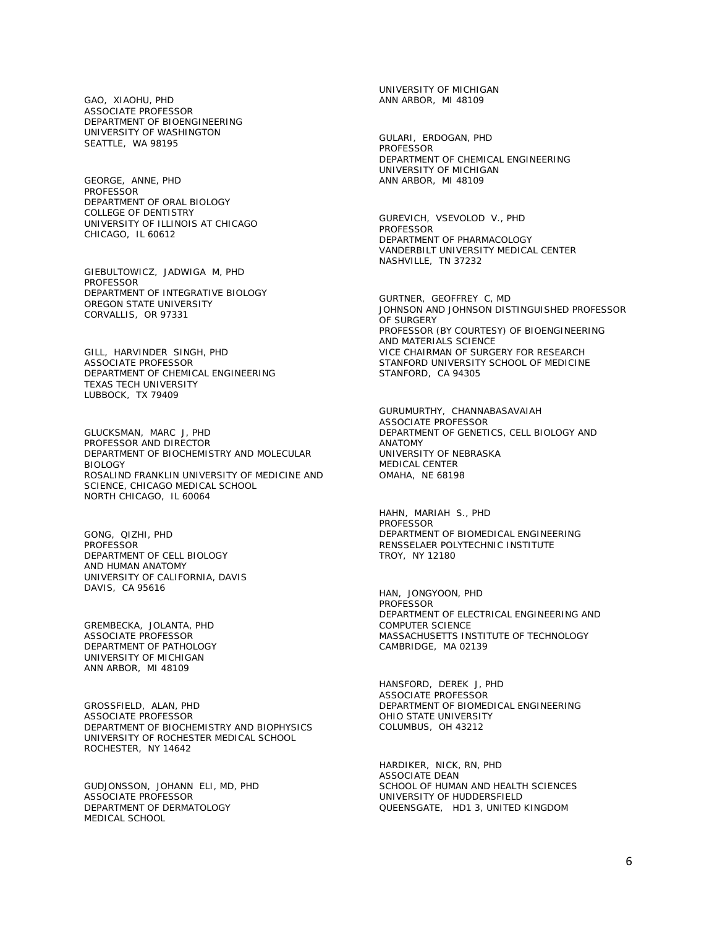GAO, XIAOHU, PHD ASSOCIATE PROFESSOR DEPARTMENT OF BIOENGINEERING UNIVERSITY OF WASHINGTON SEATTLE, WA 98195

GEORGE, ANNE, PHD PROFESSOR DEPARTMENT OF ORAL BIOLOGY COLLEGE OF DENTISTRY UNIVERSITY OF ILLINOIS AT CHICAGO CHICAGO, IL 60612

GIEBULTOWICZ, JADWIGA M, PHD **PROFESSOR** DEPARTMENT OF INTEGRATIVE BIOLOGY OREGON STATE UNIVERSITY CORVALLIS, OR 97331

GILL, HARVINDER SINGH, PHD ASSOCIATE PROFESSOR DEPARTMENT OF CHEMICAL ENGINEERING TEXAS TECH UNIVERSITY LUBBOCK, TX 79409

GLUCKSMAN, MARC J, PHD PROFESSOR AND DIRECTOR DEPARTMENT OF BIOCHEMISTRY AND MOLECULAR BIOLOGY ROSALIND FRANKLIN UNIVERSITY OF MEDICINE AND SCIENCE, CHICAGO MEDICAL SCHOOL NORTH CHICAGO, IL 60064

GONG, QIZHI, PHD **PROFESSOR** DEPARTMENT OF CELL BIOLOGY AND HUMAN ANATOMY UNIVERSITY OF CALIFORNIA, DAVIS DAVIS, CA 95616

GREMBECKA, JOLANTA, PHD ASSOCIATE PROFESSOR DEPARTMENT OF PATHOLOGY UNIVERSITY OF MICHIGAN ANN ARBOR, MI 48109

GROSSFIELD, ALAN, PHD ASSOCIATE PROFESSOR DEPARTMENT OF BIOCHEMISTRY AND BIOPHYSICS UNIVERSITY OF ROCHESTER MEDICAL SCHOOL ROCHESTER, NY 14642

GUDJONSSON, JOHANN ELI, MD, PHD ASSOCIATE PROFESSOR DEPARTMENT OF DERMATOLOGY MEDICAL SCHOOL

UNIVERSITY OF MICHIGAN ANN ARBOR, MI 48109

GULARI, ERDOGAN, PHD PROFESSOR DEPARTMENT OF CHEMICAL ENGINEERING UNIVERSITY OF MICHIGAN ANN ARBOR, MI 48109

GUREVICH, VSEVOLOD V., PHD PROFESSOR DEPARTMENT OF PHARMACOLOGY VANDERBILT UNIVERSITY MEDICAL CENTER NASHVILLE, TN 37232

GURTNER, GEOFFREY C, MD JOHNSON AND JOHNSON DISTINGUISHED PROFESSOR OF SURGERY PROFESSOR (BY COURTESY) OF BIOENGINEERING AND MATERIALS SCIENCE VICE CHAIRMAN OF SURGERY FOR RESEARCH STANFORD UNIVERSITY SCHOOL OF MEDICINE STANFORD, CA 94305

GURUMURTHY, CHANNABASAVAIAH ASSOCIATE PROFESSOR DEPARTMENT OF GENETICS, CELL BIOLOGY AND ANATOMY UNIVERSITY OF NEBRASKA MEDICAL CENTER OMAHA, NE 68198

HAHN, MARIAH S., PHD PROFESSOR DEPARTMENT OF BIOMEDICAL ENGINEERING RENSSELAER POLYTECHNIC INSTITUTE TROY, NY 12180

HAN, JONGYOON, PHD **PROFESSOR** DEPARTMENT OF ELECTRICAL ENGINEERING AND COMPUTER SCIENCE MASSACHUSETTS INSTITUTE OF TECHNOLOGY CAMBRIDGE, MA 02139

HANSFORD, DEREK J, PHD ASSOCIATE PROFESSOR DEPARTMENT OF BIOMEDICAL ENGINEERING OHIO STATE UNIVERSITY COLUMBUS, OH 43212

HARDIKER, NICK, RN, PHD ASSOCIATE DEAN SCHOOL OF HUMAN AND HEALTH SCIENCES UNIVERSITY OF HUDDERSFIELD QUEENSGATE, HD1 3, UNITED KINGDOM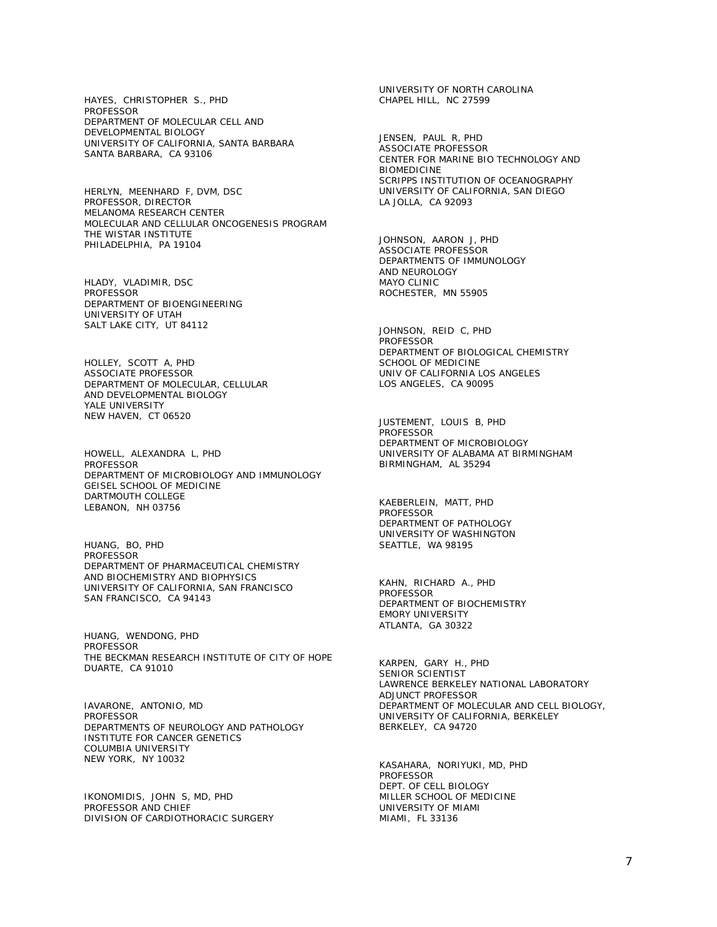HAYES, CHRISTOPHER S., PHD PROFESSOR DEPARTMENT OF MOLECULAR CELL AND DEVELOPMENTAL BIOLOGY UNIVERSITY OF CALIFORNIA, SANTA BARBARA SANTA BARBARA, CA 93106

HERLYN, MEENHARD F, DVM, DSC PROFESSOR, DIRECTOR MELANOMA RESEARCH CENTER MOLECULAR AND CELLULAR ONCOGENESIS PROGRAM THE WISTAR INSTITUTE PHILADELPHIA, PA 19104

HLADY, VLADIMIR, DSC PROFESSOR DEPARTMENT OF BIOENGINEERING UNIVERSITY OF UTAH SALT LAKE CITY, UT 84112

HOLLEY, SCOTT A, PHD ASSOCIATE PROFESSOR DEPARTMENT OF MOLECULAR, CELLULAR AND DEVELOPMENTAL BIOLOGY YALE UNIVERSITY NEW HAVEN, CT 06520

HOWELL, ALEXANDRA L, PHD **PROFESSOR** DEPARTMENT OF MICROBIOLOGY AND IMMUNOLOGY GEISEL SCHOOL OF MEDICINE DARTMOUTH COLLEGE LEBANON, NH 03756

HUANG, BO, PHD PROFESSOR DEPARTMENT OF PHARMACEUTICAL CHEMISTRY AND BIOCHEMISTRY AND BIOPHYSICS UNIVERSITY OF CALIFORNIA, SAN FRANCISCO SAN FRANCISCO, CA 94143

HUANG, WENDONG, PHD PROFESSOR THE BECKMAN RESEARCH INSTITUTE OF CITY OF HOPE DUARTE, CA 91010

IAVARONE, ANTONIO, MD PROFESSOR DEPARTMENTS OF NEUROLOGY AND PATHOLOGY INSTITUTE FOR CANCER GENETICS COLUMBIA UNIVERSITY NEW YORK, NY 10032

IKONOMIDIS, JOHN S, MD, PHD PROFESSOR AND CHIEF DIVISION OF CARDIOTHORACIC SURGERY UNIVERSITY OF NORTH CAROLINA CHAPEL HILL, NC 27599

JENSEN, PAUL R, PHD ASSOCIATE PROFESSOR CENTER FOR MARINE BIO TECHNOLOGY AND BIOMEDICINE SCRIPPS INSTITUTION OF OCEANOGRAPHY UNIVERSITY OF CALIFORNIA, SAN DIEGO LA JOLLA, CA 92093

JOHNSON, AARON J, PHD ASSOCIATE PROFESSOR DEPARTMENTS OF IMMUNOLOGY AND NEUROLOGY MAYO CLINIC ROCHESTER, MN 55905

JOHNSON, REID C, PHD PROFESSOR DEPARTMENT OF BIOLOGICAL CHEMISTRY SCHOOL OF MEDICINE UNIV OF CALIFORNIA LOS ANGELES LOS ANGELES, CA 90095

JUSTEMENT, LOUIS B, PHD PROFESSOR DEPARTMENT OF MICROBIOLOGY UNIVERSITY OF ALABAMA AT BIRMINGHAM BIRMINGHAM, AL 35294

KAEBERLEIN, MATT, PHD PROFESSOR DEPARTMENT OF PATHOLOGY UNIVERSITY OF WASHINGTON SEATTLE, WA 98195

KAHN, RICHARD A., PHD PROFESSOR DEPARTMENT OF BIOCHEMISTRY EMORY UNIVERSITY ATLANTA, GA 30322

KARPEN, GARY H., PHD SENIOR SCIENTIST LAWRENCE BERKELEY NATIONAL LABORATORY ADJUNCT PROFESSOR DEPARTMENT OF MOLECULAR AND CELL BIOLOGY, UNIVERSITY OF CALIFORNIA, BERKELEY BERKELEY, CA 94720

KASAHARA, NORIYUKI, MD, PHD PROFESSOR DEPT. OF CELL BIOLOGY MILLER SCHOOL OF MEDICINE UNIVERSITY OF MIAMI MIAMI, FL 33136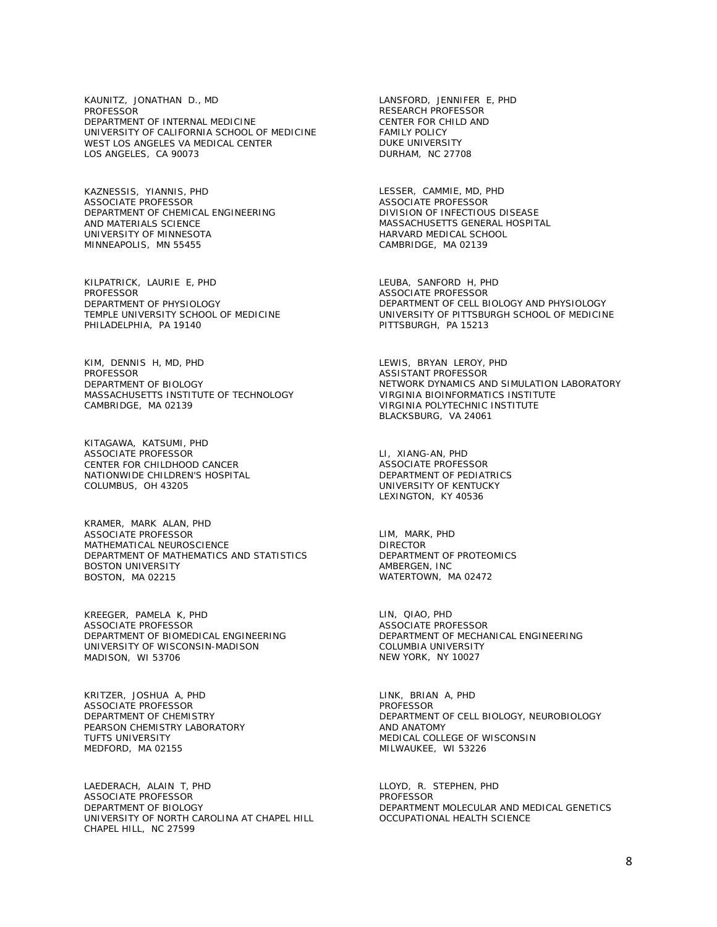KAUNITZ, JONATHAN D., MD PROFESSOR DEPARTMENT OF INTERNAL MEDICINE UNIVERSITY OF CALIFORNIA SCHOOL OF MEDICINE WEST LOS ANGELES VA MEDICAL CENTER LOS ANGELES, CA 90073

KAZNESSIS, YIANNIS, PHD ASSOCIATE PROFESSOR DEPARTMENT OF CHEMICAL ENGINEERING AND MATERIALS SCIENCE UNIVERSITY OF MINNESOTA MINNEAPOLIS, MN 55455

KILPATRICK, LAURIE E, PHD PROFESSOR DEPARTMENT OF PHYSIOLOGY TEMPLE UNIVERSITY SCHOOL OF MEDICINE PHILADELPHIA, PA 19140

KIM, DENNIS H, MD, PHD PROFESSOR DEPARTMENT OF BIOLOGY MASSACHUSETTS INSTITUTE OF TECHNOLOGY CAMBRIDGE, MA 02139

KITAGAWA, KATSUMI, PHD ASSOCIATE PROFESSOR CENTER FOR CHILDHOOD CANCER NATIONWIDE CHILDREN'S HOSPITAL COLUMBUS, OH 43205

KRAMER, MARK ALAN, PHD ASSOCIATE PROFESSOR MATHEMATICAL NEUROSCIENCE DEPARTMENT OF MATHEMATICS AND STATISTICS BOSTON UNIVERSITY BOSTON, MA 02215

KREEGER, PAMELA K, PHD ASSOCIATE PROFESSOR DEPARTMENT OF BIOMEDICAL ENGINEERING UNIVERSITY OF WISCONSIN-MADISON MADISON, WI 53706

KRITZER, JOSHUA A, PHD ASSOCIATE PROFESSOR DEPARTMENT OF CHEMISTRY PEARSON CHEMISTRY LABORATORY TUFTS UNIVERSITY MEDFORD, MA 02155

LAEDERACH, ALAIN T, PHD ASSOCIATE PROFESSOR DEPARTMENT OF BIOLOGY UNIVERSITY OF NORTH CAROLINA AT CHAPEL HILL CHAPEL HILL, NC 27599

LANSFORD, JENNIFER E, PHD RESEARCH PROFESSOR CENTER FOR CHILD AND FAMILY POLICY DUKE UNIVERSITY DURHAM, NC 27708

LESSER, CAMMIE, MD, PHD ASSOCIATE PROFESSOR DIVISION OF INFECTIOUS DISEASE MASSACHUSETTS GENERAL HOSPITAL HARVARD MEDICAL SCHOOL CAMBRIDGE, MA 02139

LEUBA, SANFORD H, PHD ASSOCIATE PROFESSOR DEPARTMENT OF CELL BIOLOGY AND PHYSIOLOGY UNIVERSITY OF PITTSBURGH SCHOOL OF MEDICINE PITTSBURGH, PA 15213

LEWIS, BRYAN LEROY, PHD ASSISTANT PROFESSOR NETWORK DYNAMICS AND SIMULATION LABORATORY VIRGINIA BIOINFORMATICS INSTITUTE VIRGINIA POLYTECHNIC INSTITUTE BLACKSBURG, VA 24061

LI, XIANG-AN, PHD ASSOCIATE PROFESSOR DEPARTMENT OF PEDIATRICS UNIVERSITY OF KENTUCKY LEXINGTON, KY 40536

LIM, MARK, PHD DIRECTOR DEPARTMENT OF PROTEOMICS AMBERGEN, INC WATERTOWN, MA 02472

LIN, QIAO, PHD ASSOCIATE PROFESSOR DEPARTMENT OF MECHANICAL ENGINEERING COLUMBIA UNIVERSITY NEW YORK, NY 10027

LINK, BRIAN A, PHD PROFESSOR DEPARTMENT OF CELL BIOLOGY, NEUROBIOLOGY AND ANATOMY MEDICAL COLLEGE OF WISCONSIN MILWAUKEE, WI 53226

LLOYD, R. STEPHEN, PHD PROFESSOR DEPARTMENT MOLECULAR AND MEDICAL GENETICS OCCUPATIONAL HEALTH SCIENCE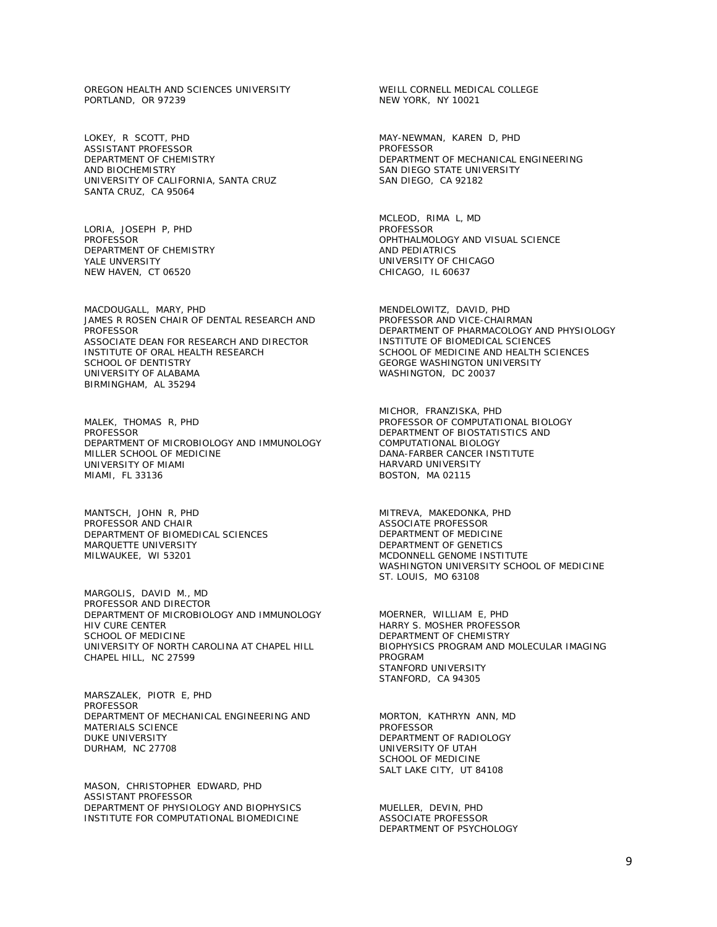OREGON HEALTH AND SCIENCES UNIVERSITY PORTLAND, OR 97239

LOKEY, R SCOTT, PHD ASSISTANT PROFESSOR DEPARTMENT OF CHEMISTRY AND BIOCHEMISTRY UNIVERSITY OF CALIFORNIA, SANTA CRUZ SANTA CRUZ, CA 95064

LORIA, JOSEPH P, PHD **PROFESSOR** DEPARTMENT OF CHEMISTRY YALE UNVERSITY NEW HAVEN, CT 06520

MACDOUGALL, MARY, PHD JAMES R ROSEN CHAIR OF DENTAL RESEARCH AND PROFESSOR ASSOCIATE DEAN FOR RESEARCH AND DIRECTOR INSTITUTE OF ORAL HEALTH RESEARCH SCHOOL OF DENTISTRY UNIVERSITY OF ALABAMA BIRMINGHAM, AL 35294

MALEK, THOMAS R, PHD PROFESSOR DEPARTMENT OF MICROBIOLOGY AND IMMUNOLOGY MILLER SCHOOL OF MEDICINE UNIVERSITY OF MIAMI MIAMI, FL 33136

MANTSCH, JOHN R, PHD PROFESSOR AND CHAIR DEPARTMENT OF BIOMEDICAL SCIENCES MARQUETTE UNIVERSITY MILWAUKEE, WI 53201

MARGOLIS, DAVID M., MD PROFESSOR AND DIRECTOR DEPARTMENT OF MICROBIOLOGY AND IMMUNOLOGY HIV CURE CENTER SCHOOL OF MEDICINE UNIVERSITY OF NORTH CAROLINA AT CHAPEL HILL CHAPEL HILL, NC 27599

MARSZALEK, PIOTR E, PHD **PROFESSOR** DEPARTMENT OF MECHANICAL ENGINEERING AND MATERIALS SCIENCE DUKE UNIVERSITY DURHAM, NC 27708

MASON, CHRISTOPHER EDWARD, PHD ASSISTANT PROFESSOR DEPARTMENT OF PHYSIOLOGY AND BIOPHYSICS INSTITUTE FOR COMPUTATIONAL BIOMEDICINE

WEILL CORNELL MEDICAL COLLEGE NEW YORK, NY 10021

MAY-NEWMAN, KAREN D, PHD PROFESSOR DEPARTMENT OF MECHANICAL ENGINEERING SAN DIEGO STATE UNIVERSITY SAN DIEGO, CA 92182

MCLEOD, RIMA L, MD PROFESSOR OPHTHALMOLOGY AND VISUAL SCIENCE AND PEDIATRICS UNIVERSITY OF CHICAGO CHICAGO, IL 60637

MENDELOWITZ, DAVID, PHD PROFESSOR AND VICE-CHAIRMAN DEPARTMENT OF PHARMACOLOGY AND PHYSIOLOGY INSTITUTE OF BIOMEDICAL SCIENCES SCHOOL OF MEDICINE AND HEALTH SCIENCES GEORGE WASHINGTON UNIVERSITY WASHINGTON, DC 20037

MICHOR, FRANZISKA, PHD PROFESSOR OF COMPUTATIONAL BIOLOGY DEPARTMENT OF BIOSTATISTICS AND COMPUTATIONAL BIOLOGY DANA-FARBER CANCER INSTITUTE HARVARD UNIVERSITY BOSTON, MA 02115

MITREVA, MAKEDONKA, PHD ASSOCIATE PROFESSOR DEPARTMENT OF MEDICINE DEPARTMENT OF GENETICS MCDONNELL GENOME INSTITUTE WASHINGTON UNIVERSITY SCHOOL OF MEDICINE ST. LOUIS, MO 63108

MOERNER, WILLIAM E, PHD HARRY S. MOSHER PROFESSOR DEPARTMENT OF CHEMISTRY BIOPHYSICS PROGRAM AND MOLECULAR IMAGING PROGRAM STANFORD UNIVERSITY STANFORD, CA 94305

MORTON, KATHRYN ANN, MD PROFESSOR DEPARTMENT OF RADIOLOGY UNIVERSITY OF UTAH SCHOOL OF MEDICINE SALT LAKE CITY, UT 84108

MUELLER, DEVIN, PHD ASSOCIATE PROFESSOR DEPARTMENT OF PSYCHOLOGY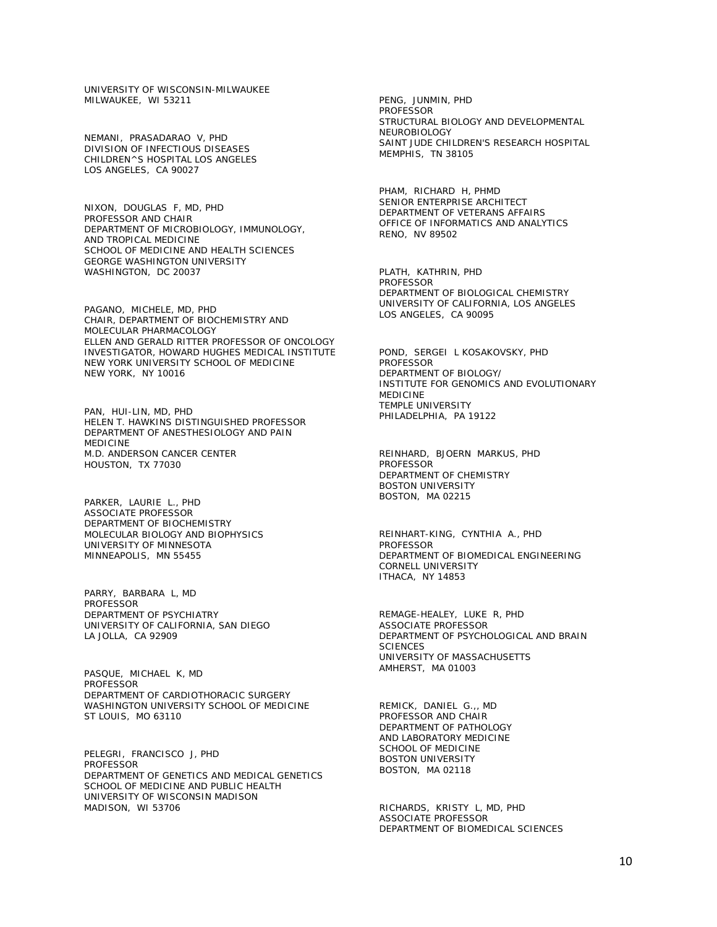UNIVERSITY OF WISCONSIN-MILWAUKEE MILWAUKEE, WI 53211

NEMANI, PRASADARAO V, PHD DIVISION OF INFECTIOUS DISEASES CHILDREN^S HOSPITAL LOS ANGELES LOS ANGELES, CA 90027

NIXON, DOUGLAS F, MD, PHD PROFESSOR AND CHAIR DEPARTMENT OF MICROBIOLOGY, IMMUNOLOGY, AND TROPICAL MEDICINE SCHOOL OF MEDICINE AND HEALTH SCIENCES GEORGE WASHINGTON UNIVERSITY WASHINGTON, DC 20037

PAGANO, MICHELE, MD, PHD CHAIR, DEPARTMENT OF BIOCHEMISTRY AND MOLECULAR PHARMACOLOGY ELLEN AND GERALD RITTER PROFESSOR OF ONCOLOGY INVESTIGATOR, HOWARD HUGHES MEDICAL INSTITUTE NEW YORK UNIVERSITY SCHOOL OF MEDICINE NEW YORK, NY 10016

PAN, HUI-LIN, MD, PHD HELEN T. HAWKINS DISTINGUISHED PROFESSOR DEPARTMENT OF ANESTHESIOLOGY AND PAIN MEDICINE M.D. ANDERSON CANCER CENTER HOUSTON, TX 77030

PARKER, LAURIE L., PHD ASSOCIATE PROFESSOR DEPARTMENT OF BIOCHEMISTRY MOLECULAR BIOLOGY AND BIOPHYSICS UNIVERSITY OF MINNESOTA MINNEAPOLIS, MN 55455

PARRY, BARBARA L, MD **PROFESSOR** DEPARTMENT OF PSYCHIATRY UNIVERSITY OF CALIFORNIA, SAN DIEGO LA JOLLA, CA 92909

PASQUE, MICHAEL K, MD PROFESSOR DEPARTMENT OF CARDIOTHORACIC SURGERY WASHINGTON UNIVERSITY SCHOOL OF MEDICINE ST LOUIS, MO 63110

PELEGRI, FRANCISCO J, PHD **PROFESSOR** DEPARTMENT OF GENETICS AND MEDICAL GENETICS SCHOOL OF MEDICINE AND PUBLIC HEALTH UNIVERSITY OF WISCONSIN MADISON MADISON, WI 53706

PENG, JUNMIN, PHD PROFESSOR STRUCTURAL BIOLOGY AND DEVELOPMENTAL NEUROBIOLOGY SAINT JUDE CHILDREN'S RESEARCH HOSPITAL MEMPHIS, TN 38105

PHAM, RICHARD H, PHMD SENIOR ENTERPRISE ARCHITECT DEPARTMENT OF VETERANS AFFAIRS OFFICE OF INFORMATICS AND ANALYTICS RENO, NV 89502

PLATH, KATHRIN, PHD PROFESSOR DEPARTMENT OF BIOLOGICAL CHEMISTRY UNIVERSITY OF CALIFORNIA, LOS ANGELES LOS ANGELES, CA 90095

POND, SERGEI L KOSAKOVSKY, PHD PROFESSOR DEPARTMENT OF BIOLOGY/ INSTITUTE FOR GENOMICS AND EVOLUTIONARY MEDICINE TEMPLE UNIVERSITY PHILADELPHIA, PA 19122

REINHARD, BJOERN MARKUS, PHD PROFESSOR DEPARTMENT OF CHEMISTRY BOSTON UNIVERSITY BOSTON, MA 02215

REINHART-KING, CYNTHIA A., PHD PROFESSOR DEPARTMENT OF BIOMEDICAL ENGINEERING CORNELL UNIVERSITY ITHACA, NY 14853

REMAGE-HEALEY, LUKE R, PHD ASSOCIATE PROFESSOR DEPARTMENT OF PSYCHOLOGICAL AND BRAIN **SCIENCES** UNIVERSITY OF MASSACHUSETTS AMHERST, MA 01003

REMICK, DANIEL G.,, MD PROFESSOR AND CHAIR DEPARTMENT OF PATHOLOGY AND LABORATORY MEDICINE SCHOOL OF MEDICINE BOSTON UNIVERSITY BOSTON, MA 02118

RICHARDS, KRISTY L, MD, PHD ASSOCIATE PROFESSOR DEPARTMENT OF BIOMEDICAL SCIENCES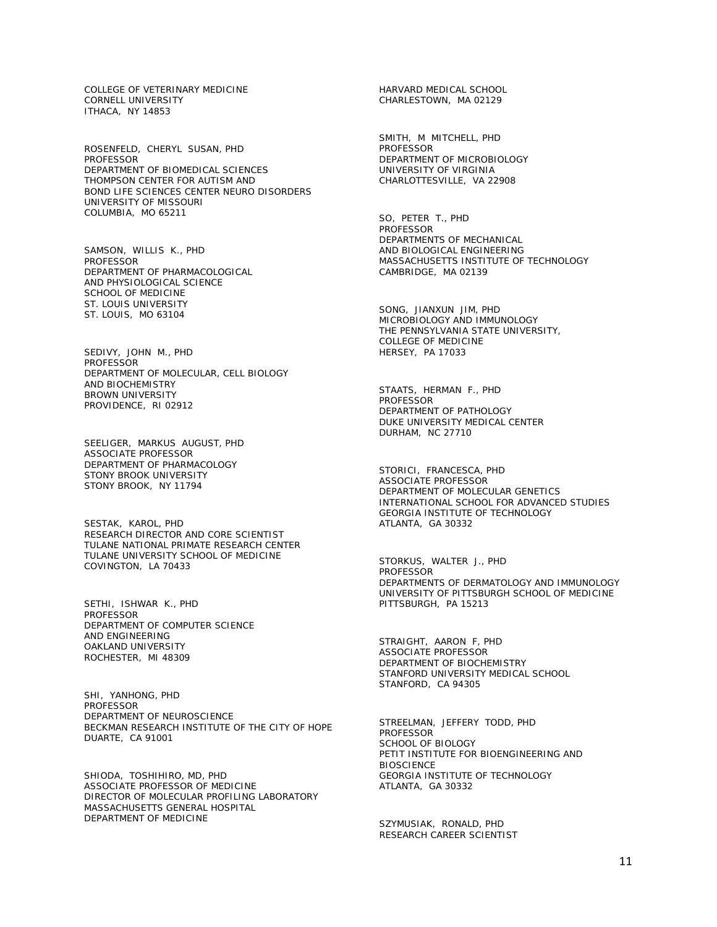COLLEGE OF VETERINARY MEDICINE CORNELL UNIVERSITY ITHACA, NY 14853

ROSENFELD, CHERYL SUSAN, PHD **PROFESSOR** DEPARTMENT OF BIOMEDICAL SCIENCES THOMPSON CENTER FOR AUTISM AND BOND LIFE SCIENCES CENTER NEURO DISORDERS UNIVERSITY OF MISSOURI COLUMBIA, MO 65211

SAMSON, WILLIS K., PHD **PROFESSOR** DEPARTMENT OF PHARMACOLOGICAL AND PHYSIOLOGICAL SCIENCE SCHOOL OF MEDICINE ST. LOUIS UNIVERSITY ST. LOUIS, MO 63104

SEDIVY, JOHN M., PHD PROFESSOR DEPARTMENT OF MOLECULAR, CELL BIOLOGY AND BIOCHEMISTRY BROWN UNIVERSITY PROVIDENCE, RI 02912

SEELIGER, MARKUS AUGUST, PHD ASSOCIATE PROFESSOR DEPARTMENT OF PHARMACOLOGY STONY BROOK UNIVERSITY STONY BROOK, NY 11794

SESTAK, KAROL, PHD RESEARCH DIRECTOR AND CORE SCIENTIST TULANE NATIONAL PRIMATE RESEARCH CENTER TULANE UNIVERSITY SCHOOL OF MEDICINE COVINGTON, LA 70433

SETHI, ISHWAR K., PHD PROFESSOR DEPARTMENT OF COMPUTER SCIENCE AND ENGINEERING OAKLAND UNIVERSITY ROCHESTER, MI 48309

SHI, YANHONG, PHD **PROFESSOR** DEPARTMENT OF NEUROSCIENCE BECKMAN RESEARCH INSTITUTE OF THE CITY OF HOPE DUARTE, CA 91001

SHIODA, TOSHIHIRO, MD, PHD ASSOCIATE PROFESSOR OF MEDICINE DIRECTOR OF MOLECULAR PROFILING LABORATORY MASSACHUSETTS GENERAL HOSPITAL DEPARTMENT OF MEDICINE

HARVARD MEDICAL SCHOOL CHARLESTOWN, MA 02129

SMITH, M MITCHELL, PHD PROFESSOR DEPARTMENT OF MICROBIOLOGY UNIVERSITY OF VIRGINIA CHARLOTTESVILLE, VA 22908

SO, PETER T., PHD PROFESSOR DEPARTMENTS OF MECHANICAL AND BIOLOGICAL ENGINEERING MASSACHUSETTS INSTITUTE OF TECHNOLOGY CAMBRIDGE, MA 02139

SONG, JIANXUN JIM, PHD MICROBIOLOGY AND IMMUNOLOGY THE PENNSYLVANIA STATE UNIVERSITY, COLLEGE OF MEDICINE HERSEY, PA 17033

STAATS, HERMAN F., PHD PROFESSOR DEPARTMENT OF PATHOLOGY DUKE UNIVERSITY MEDICAL CENTER DURHAM, NC 27710

STORICI, FRANCESCA, PHD ASSOCIATE PROFESSOR DEPARTMENT OF MOLECULAR GENETICS INTERNATIONAL SCHOOL FOR ADVANCED STUDIES GEORGIA INSTITUTE OF TECHNOLOGY ATLANTA, GA 30332

STORKUS, WALTER J., PHD PROFESSOR DEPARTMENTS OF DERMATOLOGY AND IMMUNOLOGY UNIVERSITY OF PITTSBURGH SCHOOL OF MEDICINE PITTSBURGH, PA 15213

STRAIGHT, AARON F, PHD ASSOCIATE PROFESSOR DEPARTMENT OF BIOCHEMISTRY STANFORD UNIVERSITY MEDICAL SCHOOL STANFORD, CA 94305

STREELMAN, JEFFERY TODD, PHD PROFESSOR SCHOOL OF BIOLOGY PETIT INSTITUTE FOR BIOENGINEERING AND **BIOSCIENCE** GEORGIA INSTITUTE OF TECHNOLOGY ATLANTA, GA 30332

SZYMUSIAK, RONALD, PHD RESEARCH CAREER SCIENTIST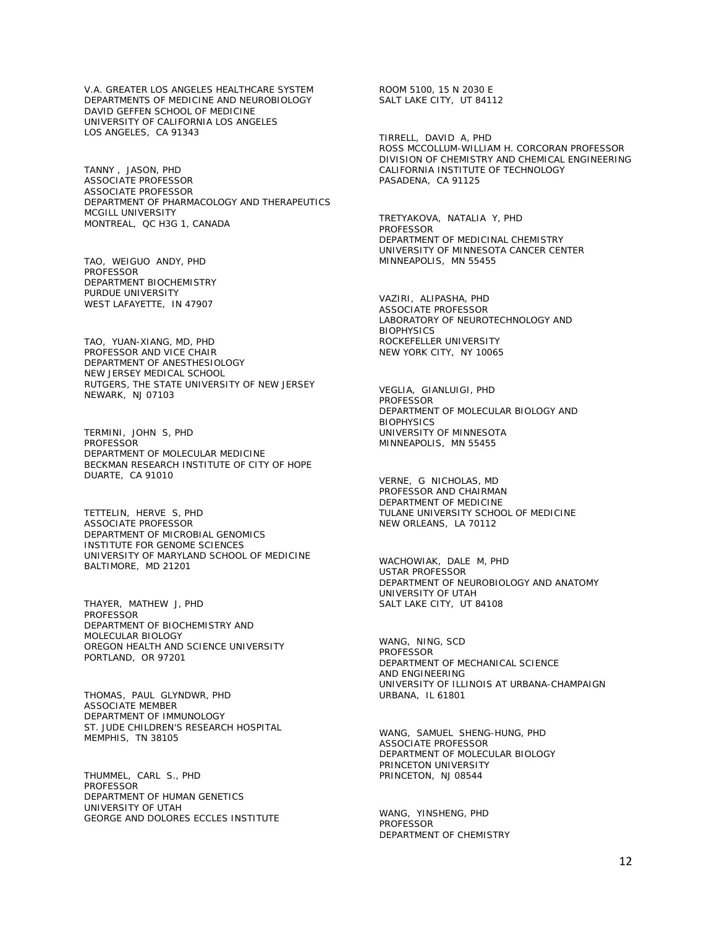V.A. GREATER LOS ANGELES HEALTHCARE SYSTEM DEPARTMENTS OF MEDICINE AND NEUROBIOLOGY DAVID GEFFEN SCHOOL OF MEDICINE UNIVERSITY OF CALIFORNIA LOS ANGELES LOS ANGELES, CA 91343

TANNY , JASON, PHD ASSOCIATE PROFESSOR ASSOCIATE PROFESSOR DEPARTMENT OF PHARMACOLOGY AND THERAPEUTICS MCGILL UNIVERSITY MONTREAL, QC H3G 1, CANADA

TAO, WEIGUO ANDY, PHD PROFESSOR DEPARTMENT BIOCHEMISTRY PURDUE UNIVERSITY WEST LAFAYETTE, IN 47907

TAO, YUAN-XIANG, MD, PHD PROFESSOR AND VICE CHAIR DEPARTMENT OF ANESTHESIOLOGY NEW JERSEY MEDICAL SCHOOL RUTGERS, THE STATE UNIVERSITY OF NEW JERSEY NEWARK, NJ 07103

TERMINI, JOHN S, PHD **PROFESSOR** DEPARTMENT OF MOLECULAR MEDICINE BECKMAN RESEARCH INSTITUTE OF CITY OF HOPE DUARTE, CA 91010

TETTELIN, HERVE S, PHD ASSOCIATE PROFESSOR DEPARTMENT OF MICROBIAL GENOMICS INSTITUTE FOR GENOME SCIENCES UNIVERSITY OF MARYLAND SCHOOL OF MEDICINE BALTIMORE, MD 21201

THAYER, MATHEW J, PHD PROFESSOR DEPARTMENT OF BIOCHEMISTRY AND MOLECULAR BIOLOGY OREGON HEALTH AND SCIENCE UNIVERSITY PORTLAND, OR 97201

THOMAS, PAUL GLYNDWR, PHD ASSOCIATE MEMBER DEPARTMENT OF IMMUNOLOGY ST. JUDE CHILDREN'S RESEARCH HOSPITAL MEMPHIS, TN 38105

THUMMEL, CARL S., PHD **PROFESSOR** DEPARTMENT OF HUMAN GENETICS UNIVERSITY OF UTAH GEORGE AND DOLORES ECCLES INSTITUTE

ROOM 5100, 15 N 2030 E SALT LAKE CITY, UT 84112

TIRRELL, DAVID A, PHD ROSS MCCOLLUM-WILLIAM H. CORCORAN PROFESSOR DIVISION OF CHEMISTRY AND CHEMICAL ENGINEERING CALIFORNIA INSTITUTE OF TECHNOLOGY PASADENA, CA 91125

TRETYAKOVA, NATALIA Y, PHD PROFESSOR DEPARTMENT OF MEDICINAL CHEMISTRY UNIVERSITY OF MINNESOTA CANCER CENTER MINNEAPOLIS, MN 55455

VAZIRI, ALIPASHA, PHD ASSOCIATE PROFESSOR LABORATORY OF NEUROTECHNOLOGY AND **BIOPHYSICS** ROCKEFELLER UNIVERSITY NEW YORK CITY, NY 10065

VEGLIA, GIANLUIGI, PHD PROFESSOR DEPARTMENT OF MOLECULAR BIOLOGY AND **BIOPHYSICS** UNIVERSITY OF MINNESOTA MINNEAPOLIS, MN 55455

VERNE, G NICHOLAS, MD PROFESSOR AND CHAIRMAN DEPARTMENT OF MEDICINE TULANE UNIVERSITY SCHOOL OF MEDICINE NEW ORLEANS, LA 70112

WACHOWIAK, DALE M, PHD USTAR PROFESSOR DEPARTMENT OF NEUROBIOLOGY AND ANATOMY UNIVERSITY OF UTAH SALT LAKE CITY, UT 84108

WANG, NING, SCD PROFESSOR DEPARTMENT OF MECHANICAL SCIENCE AND ENGINEERING UNIVERSITY OF ILLINOIS AT URBANA-CHAMPAIGN URBANA, IL 61801

WANG, SAMUEL SHENG-HUNG, PHD ASSOCIATE PROFESSOR DEPARTMENT OF MOLECULAR BIOLOGY PRINCETON UNIVERSITY PRINCETON, NJ 08544

WANG, YINSHENG, PHD PROFESSOR DEPARTMENT OF CHEMISTRY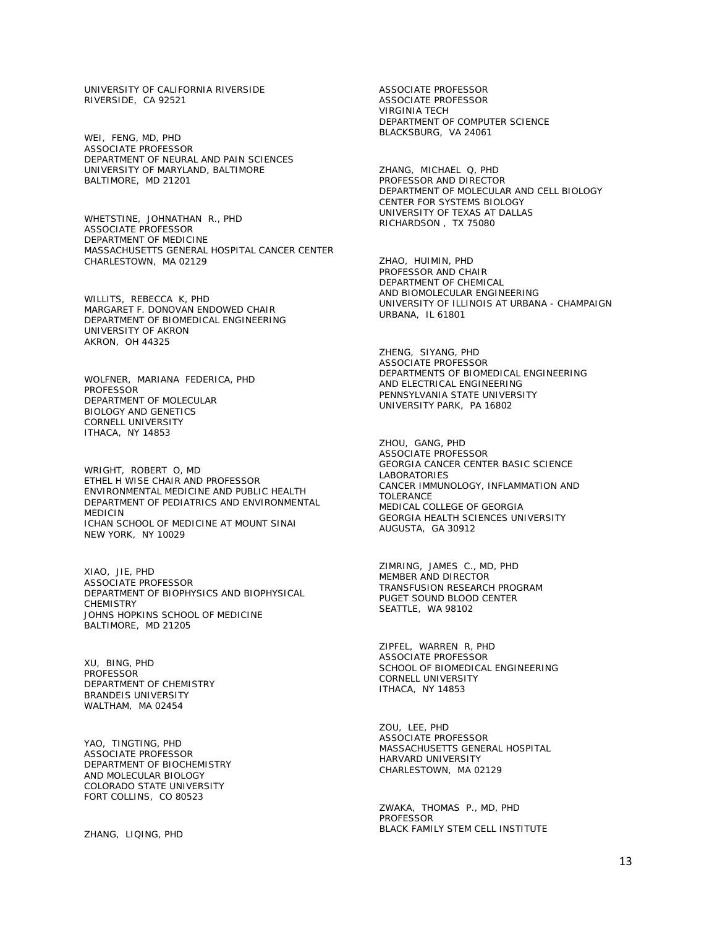UNIVERSITY OF CALIFORNIA RIVERSIDE RIVERSIDE, CA 92521

WEI, FENG, MD, PHD ASSOCIATE PROFESSOR DEPARTMENT OF NEURAL AND PAIN SCIENCES UNIVERSITY OF MARYLAND, BALTIMORE BALTIMORE, MD 21201

WHETSTINE, JOHNATHAN R., PHD ASSOCIATE PROFESSOR DEPARTMENT OF MEDICINE MASSACHUSETTS GENERAL HOSPITAL CANCER CENTER CHARLESTOWN, MA 02129

WILLITS, REBECCA K, PHD MARGARET F. DONOVAN ENDOWED CHAIR DEPARTMENT OF BIOMEDICAL ENGINEERING UNIVERSITY OF AKRON AKRON, OH 44325

WOLFNER, MARIANA FEDERICA, PHD PROFESSOR DEPARTMENT OF MOLECULAR BIOLOGY AND GENETICS CORNELL UNIVERSITY ITHACA, NY 14853

WRIGHT, ROBERT O, MD ETHEL H WISE CHAIR AND PROFESSOR ENVIRONMENTAL MEDICINE AND PUBLIC HEALTH DEPARTMENT OF PEDIATRICS AND ENVIRONMENTAL MEDICIN ICHAN SCHOOL OF MEDICINE AT MOUNT SINAI NEW YORK, NY 10029

XIAO, JIE, PHD ASSOCIATE PROFESSOR DEPARTMENT OF BIOPHYSICS AND BIOPHYSICAL **CHEMISTRY** JOHNS HOPKINS SCHOOL OF MEDICINE BALTIMORE, MD 21205

XU, BING, PHD PROFESSOR DEPARTMENT OF CHEMISTRY BRANDEIS UNIVERSITY WALTHAM, MA 02454

YAO, TINGTING, PHD ASSOCIATE PROFESSOR DEPARTMENT OF BIOCHEMISTRY AND MOLECULAR BIOLOGY COLORADO STATE UNIVERSITY FORT COLLINS, CO 80523

ZHANG, LIQING, PHD

ASSOCIATE PROFESSOR ASSOCIATE PROFESSOR VIRGINIA TECH DEPARTMENT OF COMPUTER SCIENCE BLACKSBURG, VA 24061

ZHANG, MICHAEL Q, PHD PROFESSOR AND DIRECTOR DEPARTMENT OF MOLECULAR AND CELL BIOLOGY CENTER FOR SYSTEMS BIOLOGY UNIVERSITY OF TEXAS AT DALLAS RICHARDSON , TX 75080

ZHAO, HUIMIN, PHD PROFESSOR AND CHAIR DEPARTMENT OF CHEMICAL AND BIOMOLECULAR ENGINEERING UNIVERSITY OF ILLINOIS AT URBANA - CHAMPAIGN URBANA, IL 61801

ZHENG, SIYANG, PHD ASSOCIATE PROFESSOR DEPARTMENTS OF BIOMEDICAL ENGINEERING AND ELECTRICAL ENGINEERING PENNSYLVANIA STATE UNIVERSITY UNIVERSITY PARK, PA 16802

ZHOU, GANG, PHD ASSOCIATE PROFESSOR GEORGIA CANCER CENTER BASIC SCIENCE LABORATORIES CANCER IMMUNOLOGY, INFLAMMATION AND TOLERANCE MEDICAL COLLEGE OF GEORGIA GEORGIA HEALTH SCIENCES UNIVERSITY AUGUSTA, GA 30912

ZIMRING, JAMES C., MD, PHD MEMBER AND DIRECTOR TRANSFUSION RESEARCH PROGRAM PUGET SOUND BLOOD CENTER SEATTLE, WA 98102

ZIPFEL, WARREN R, PHD ASSOCIATE PROFESSOR SCHOOL OF BIOMEDICAL ENGINEERING CORNELL UNIVERSITY ITHACA, NY 14853

ZOU, LEE, PHD ASSOCIATE PROFESSOR MASSACHUSETTS GENERAL HOSPITAL HARVARD UNIVERSITY CHARLESTOWN, MA 02129

ZWAKA, THOMAS P., MD, PHD PROFESSOR BLACK FAMILY STEM CELL INSTITUTE